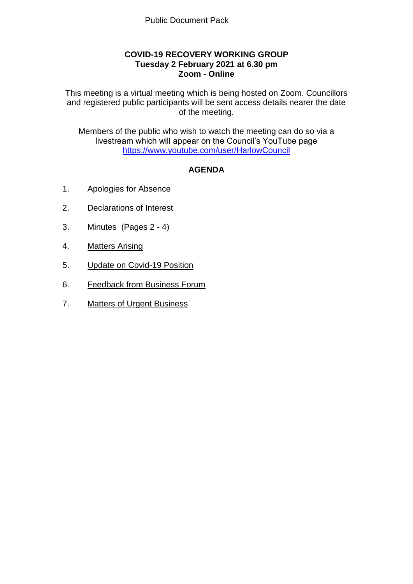## **COVID-19 RECOVERY WORKING GROUP Tuesday 2 February 2021 at 6.30 pm Zoom - Online**

This meeting is a virtual meeting which is being hosted on Zoom. Councillors and registered public participants will be sent access details nearer the date of the meeting.

Members of the public who wish to watch the meeting can do so via a livestream which will appear on the Council's YouTube page <https://www.youtube.com/user/HarlowCouncil>

# **AGENDA**

- 1. Apologies for Absence
- 2. Declarations of Interest
- 3. Minutes (Pages 2 4)
- 4. Matters Arising
- 5. Update on Covid-19 Position
- 6. Feedback from Business Forum
- 7. Matters of Urgent Business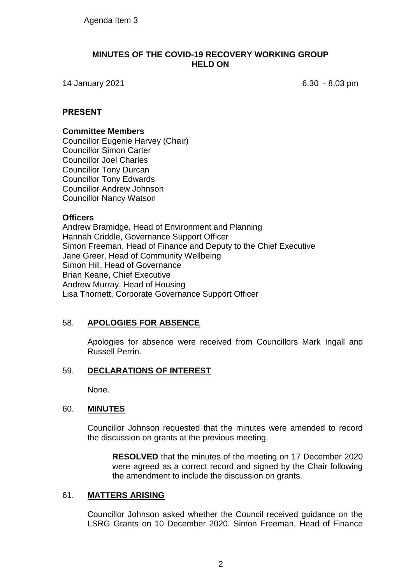### **MINUTES OF THE COVID-19 RECOVERY WORKING GROUP HELD ON**

14 January 2021 6.30 - 8.03 pm

## **PRESENT**

#### **Committee Members**

Councillor Eugenie Harvey (Chair) Councillor Simon Carter Councillor Joel Charles Councillor Tony Durcan Councillor Tony Edwards Councillor Andrew Johnson Councillor Nancy Watson

### **Officers**

Andrew Bramidge, Head of Environment and Planning Hannah Criddle, Governance Support Officer Simon Freeman, Head of Finance and Deputy to the Chief Executive Jane Greer, Head of Community Wellbeing Simon Hill, Head of Governance Brian Keane, Chief Executive Andrew Murray, Head of Housing Lisa Thornett, Corporate Governance Support Officer

### 58. **APOLOGIES FOR ABSENCE**

Apologies for absence were received from Councillors Mark Ingall and Russell Perrin.

# 59. **DECLARATIONS OF INTEREST**

None.

### 60. **MINUTES**

Councillor Johnson requested that the minutes were amended to record the discussion on grants at the previous meeting.

**RESOLVED** that the minutes of the meeting on 17 December 2020 were agreed as a correct record and signed by the Chair following the amendment to include the discussion on grants.

### 61. **MATTERS ARISING**

Councillor Johnson asked whether the Council received guidance on the LSRG Grants on 10 December 2020. Simon Freeman, Head of Finance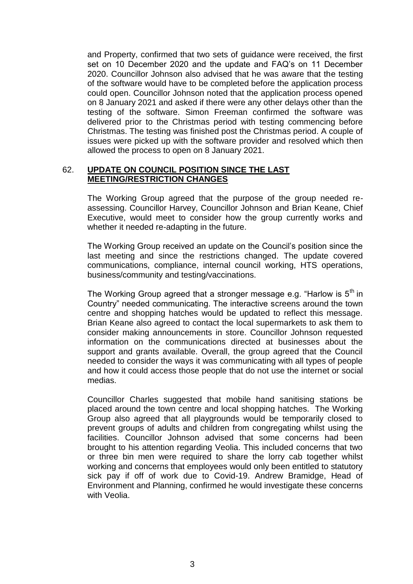and Property, confirmed that two sets of guidance were received, the first set on 10 December 2020 and the update and FAQ's on 11 December 2020. Councillor Johnson also advised that he was aware that the testing of the software would have to be completed before the application process could open. Councillor Johnson noted that the application process opened on 8 January 2021 and asked if there were any other delays other than the testing of the software. Simon Freeman confirmed the software was delivered prior to the Christmas period with testing commencing before Christmas. The testing was finished post the Christmas period. A couple of issues were picked up with the software provider and resolved which then allowed the process to open on 8 January 2021.

### 62. **UPDATE ON COUNCIL POSITION SINCE THE LAST MEETING/RESTRICTION CHANGES**

The Working Group agreed that the purpose of the group needed reassessing. Councillor Harvey, Councillor Johnson and Brian Keane, Chief Executive, would meet to consider how the group currently works and whether it needed re-adapting in the future.

The Working Group received an update on the Council's position since the last meeting and since the restrictions changed. The update covered communications, compliance, internal council working, HTS operations, business/community and testing/vaccinations.

The Working Group agreed that a stronger message e.g. "Harlow is  $5<sup>th</sup>$  in Country" needed communicating. The interactive screens around the town centre and shopping hatches would be updated to reflect this message. Brian Keane also agreed to contact the local supermarkets to ask them to consider making announcements in store. Councillor Johnson requested information on the communications directed at businesses about the support and grants available. Overall, the group agreed that the Council needed to consider the ways it was communicating with all types of people and how it could access those people that do not use the internet or social medias.

Councillor Charles suggested that mobile hand sanitising stations be placed around the town centre and local shopping hatches. The Working Group also agreed that all playgrounds would be temporarily closed to prevent groups of adults and children from congregating whilst using the facilities. Councillor Johnson advised that some concerns had been brought to his attention regarding Veolia. This included concerns that two or three bin men were required to share the lorry cab together whilst working and concerns that employees would only been entitled to statutory sick pay if off of work due to Covid-19. Andrew Bramidge, Head of Environment and Planning, confirmed he would investigate these concerns with Veolia.